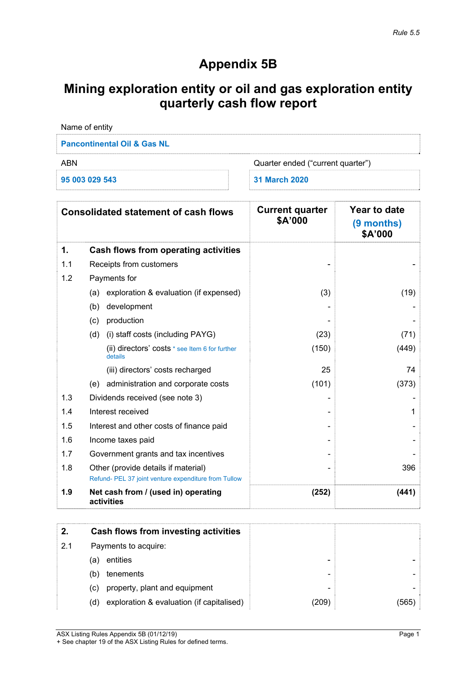# **Appendix 5B**

# **Mining exploration entity or oil and gas exploration entity quarterly cash flow report**

| Name of entity                         |                                   |  |  |
|----------------------------------------|-----------------------------------|--|--|
| <b>Pancontinental Oil &amp; Gas NL</b> |                                   |  |  |
| ARN                                    | Quarter ended ("current quarter") |  |  |
| 95 003 029 543                         | 31 March 2020                     |  |  |

|     | <b>Consolidated statement of cash flows</b>                                                 | <b>Current quarter</b><br>\$A'000 | Year to date<br>(9 months)<br>\$A'000 |
|-----|---------------------------------------------------------------------------------------------|-----------------------------------|---------------------------------------|
| 1.  | <b>Cash flows from operating activities</b>                                                 |                                   |                                       |
| 1.1 | Receipts from customers                                                                     |                                   |                                       |
| 1.2 | Payments for                                                                                |                                   |                                       |
|     | exploration & evaluation (if expensed)<br>(a)                                               | (3)                               | (19)                                  |
|     | development<br>(b)                                                                          |                                   |                                       |
|     | production<br>(c)                                                                           |                                   |                                       |
|     | (d)<br>(i) staff costs (including PAYG)                                                     | (23)                              | (71)                                  |
|     | (ii) directors' costs * see Item 6 for further<br>details                                   | (150)                             | (449)                                 |
|     | (iii) directors' costs recharged                                                            | 25                                | 74                                    |
|     | (e) administration and corporate costs                                                      | (101)                             | (373)                                 |
| 1.3 | Dividends received (see note 3)                                                             |                                   |                                       |
| 1.4 | Interest received                                                                           |                                   | 1                                     |
| 1.5 | Interest and other costs of finance paid                                                    |                                   |                                       |
| 1.6 | Income taxes paid                                                                           |                                   |                                       |
| 1.7 | Government grants and tax incentives                                                        |                                   |                                       |
| 1.8 | Other (provide details if material)<br>Refund- PEL 37 joint venture expenditure from Tullow |                                   | 396                                   |
| 1.9 | Net cash from / (used in) operating<br>activities                                           | (252)                             | (441)                                 |

|     | Cash flows from investing activities             |                          |       |
|-----|--------------------------------------------------|--------------------------|-------|
| 2.1 | Payments to acquire:                             |                          |       |
|     | entities<br>(a)                                  | -                        |       |
|     | tenements<br>(b)                                 | $\overline{\phantom{0}}$ |       |
|     | property, plant and equipment<br>(C)             | $\overline{\phantom{a}}$ |       |
|     | exploration & evaluation (if capitalised)<br>(d) | (209)                    | (565) |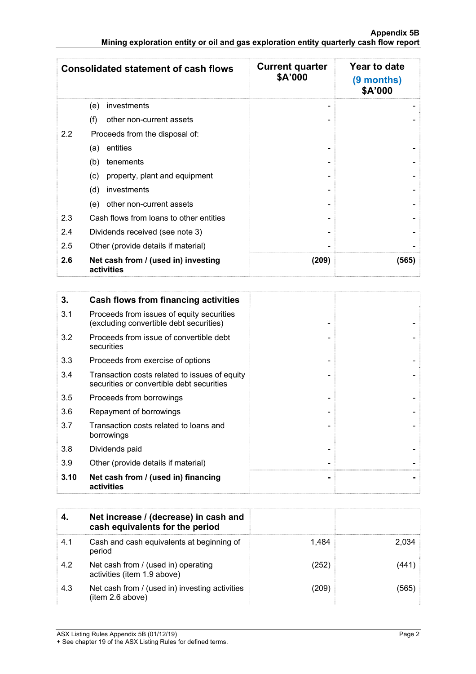|     | <b>Consolidated statement of cash flows</b>       | <b>Current quarter</b><br>\$A'000 | Year to date<br>(9 months)<br>\$A'000 |
|-----|---------------------------------------------------|-----------------------------------|---------------------------------------|
|     | investments<br>(e)                                |                                   |                                       |
|     | other non-current assets<br>(f)                   |                                   |                                       |
| 2.2 | Proceeds from the disposal of:                    |                                   |                                       |
|     | entities<br>(a)                                   |                                   |                                       |
|     | (b)<br>tenements                                  |                                   |                                       |
|     | property, plant and equipment<br>(c)              |                                   |                                       |
|     | (d)<br>investments                                |                                   |                                       |
|     | other non-current assets<br>(e)                   |                                   |                                       |
| 2.3 | Cash flows from loans to other entities           |                                   |                                       |
| 2.4 | Dividends received (see note 3)                   |                                   |                                       |
| 2.5 | Other (provide details if material)               |                                   |                                       |
| 2.6 | Net cash from / (used in) investing<br>activities | (209)                             | (565)                                 |

| 3.   | Cash flows from financing activities                                                       |  |
|------|--------------------------------------------------------------------------------------------|--|
| 3.1  | Proceeds from issues of equity securities<br>(excluding convertible debt securities)       |  |
| 3.2  | Proceeds from issue of convertible debt<br>securities                                      |  |
| 3.3  | Proceeds from exercise of options                                                          |  |
| 3.4  | Transaction costs related to issues of equity<br>securities or convertible debt securities |  |
| 3.5  | Proceeds from borrowings                                                                   |  |
| 3.6  | Repayment of borrowings                                                                    |  |
| 3.7  | Transaction costs related to loans and<br>borrowings                                       |  |
| 3.8  | Dividends paid                                                                             |  |
| 3.9  | Other (provide details if material)                                                        |  |
| 3.10 | Net cash from / (used in) financing<br>activities                                          |  |

|     | Net increase / (decrease) in cash and<br>cash equivalents for the period |       |       |
|-----|--------------------------------------------------------------------------|-------|-------|
| 4.1 | Cash and cash equivalents at beginning of<br>period                      | 1.484 | 2.034 |
| 4.2 | Net cash from / (used in) operating<br>activities (item 1.9 above)       | (252) | 441:  |
| 4.3 | Net cash from / (used in) investing activities<br>(item 2.6 above)       | (209) | 565   |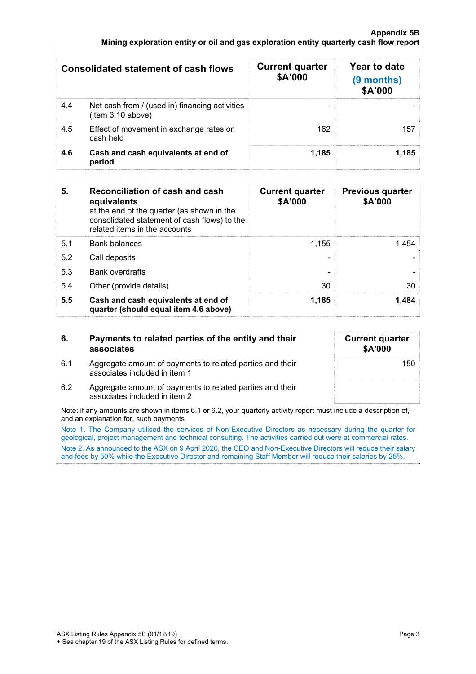#### **Appendix 5B Mining exploration entity or oil and gas exploration entity quarterly cash flow report**

|     | <b>Consolidated statement of cash flows</b>                         | <b>Current quarter</b><br>\$A'000 | Year to date<br>(9 months)<br>\$A'000 |
|-----|---------------------------------------------------------------------|-----------------------------------|---------------------------------------|
| 4.4 | Net cash from / (used in) financing activities<br>(item 3.10 above) |                                   |                                       |
| 4.5 | Effect of movement in exchange rates on<br>cash held                | 162                               | 157                                   |
| 4.6 | Cash and cash equivalents at end of<br>period                       | 1,185                             | 1,185                                 |

| 5.  | Reconciliation of cash and cash<br>equivalents<br>at the end of the quarter (as shown in the<br>consolidated statement of cash flows) to the<br>related items in the accounts | <b>Current quarter</b><br>\$A'000 | <b>Previous quarter</b><br>\$A'000 |
|-----|-------------------------------------------------------------------------------------------------------------------------------------------------------------------------------|-----------------------------------|------------------------------------|
| 5.1 | <b>Bank balances</b>                                                                                                                                                          | 1.155                             | 1.454                              |
| 5.2 | Call deposits                                                                                                                                                                 |                                   |                                    |
| 5.3 | <b>Bank overdrafts</b>                                                                                                                                                        |                                   |                                    |
| 5.4 | Other (provide details)                                                                                                                                                       | 30                                | 30                                 |
| 5.5 | Cash and cash equivalents at end of<br>quarter (should equal item 4.6 above)                                                                                                  | 1,185                             | 1,484                              |

## **6. Payments to related parties of the entity and their associates**

6.1 Aggregate amount of payments to related parties and their

associates included in item 1

| <b>Current quarter</b><br>\$A'000 |
|-----------------------------------|
| 150                               |
|                                   |

6.2 Aggregate amount of payments to related parties and their associates included in item 2

Note: if any amounts are shown in items 6.1 or 6.2, your quarterly activity report must include a description of, and an explanation for, such payments

Note 1. The Company utilised the services of Non-Executive Directors as necessary during the quarter for geological, project management and technical consulting. The activities carried out were at commercial rates. Note 2. As announced to the ASX on 9 April 2020, the CEO and Non-Executive Directors will reduce their salary and fees by 50% while the Executive Director and remaining Staff Member will reduce their salaries by 25%.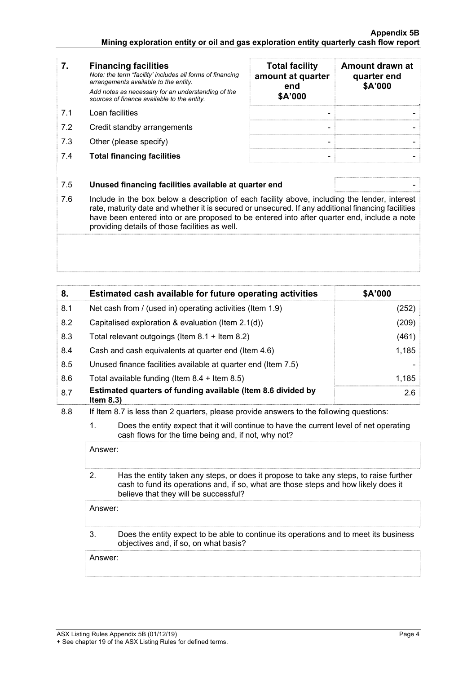- **7. Financing facilities** *Note: the term "facility' includes all forms of financing arrangements available to the entity. Add notes as necessary for an understanding of the sources of finance available to the entity.* 7.1 Loan facilities
- 7.2 Credit standby arrangements
- 7.3 Other (please specify)
- **7.4 Total financing facilities**

| <b>Total facility</b><br>amount at quarter<br>end<br>\$A'000 | Amount drawn at<br>quarter end<br>\$A'000 |
|--------------------------------------------------------------|-------------------------------------------|
|                                                              |                                           |
|                                                              |                                           |

## 7.5 **Unused financing facilities available at quarter end** -

7.6 Include in the box below a description of each facility above, including the lender, interest rate, maturity date and whether it is secured or unsecured. If any additional financing facilities have been entered into or are proposed to be entered into after quarter end, include a note providing details of those facilities as well.

| 8.  | Estimated cash available for future operating activities                     | \$A'000 |
|-----|------------------------------------------------------------------------------|---------|
| 8.1 | Net cash from / (used in) operating activities (Item 1.9)                    | (252)   |
| 8.2 | Capitalised exploration & evaluation (Item $2.1(d)$ )                        | (209)   |
| 8.3 | Total relevant outgoings (Item 8.1 + Item 8.2)                               | (461)   |
| 8.4 | Cash and cash equivalents at quarter end (Item 4.6)                          | 1,185   |
| 8.5 | Unused finance facilities available at quarter end (Item 7.5)                |         |
| 8.6 | Total available funding (Item $8.4 +$ Item $8.5$ )                           | 1,185   |
| 8.7 | Estimated quarters of funding available (Item 8.6 divided by<br>Item $8.3$ ) | 2.6     |

8.8 If Item 8.7 is less than 2 quarters, please provide answers to the following questions:

 1. Does the entity expect that it will continue to have the current level of net operating cash flows for the time being and, if not, why not?

Answer:

 2. Has the entity taken any steps, or does it propose to take any steps, to raise further cash to fund its operations and, if so, what are those steps and how likely does it believe that they will be successful?

Answer:

#### 3. Does the entity expect to be able to continue its operations and to meet its business objectives and, if so, on what basis?

Answer: